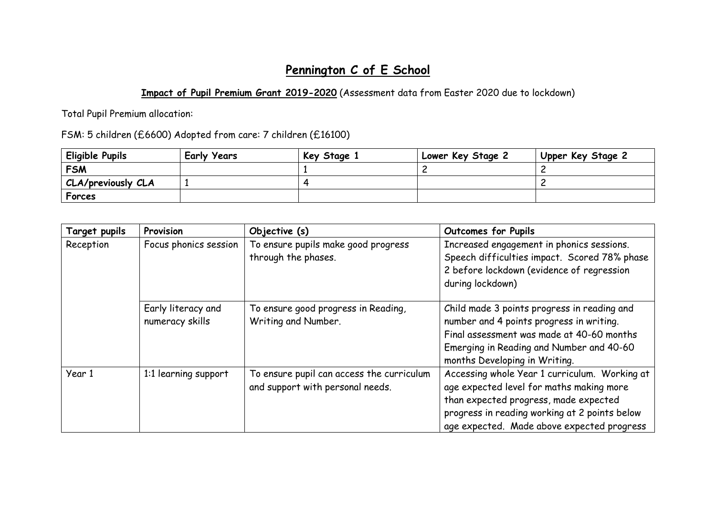## **Pennington C of E School**

## **Impact of Pupil Premium Grant 2019-2020** (Assessment data from Easter 2020 due to lockdown)

Total Pupil Premium allocation:

FSM: 5 children (£6600) Adopted from care: 7 children (£16100)

| Eligible Pupils    | <b>Early Years</b> | Key Stage 1 | Lower Key Stage 2 | Upper Key Stage 2 |
|--------------------|--------------------|-------------|-------------------|-------------------|
| <b>FSM</b>         |                    |             |                   |                   |
| CLA/previously CLA |                    |             |                   |                   |
| Forces             |                    |             |                   |                   |

| <b>Target pupils</b> | Provision                             | Objective (s)                                                                 | <b>Outcomes for Pupils</b>                                                                                                                                                                                                        |
|----------------------|---------------------------------------|-------------------------------------------------------------------------------|-----------------------------------------------------------------------------------------------------------------------------------------------------------------------------------------------------------------------------------|
| Reception            | Focus phonics session                 | To ensure pupils make good progress<br>through the phases.                    | Increased engagement in phonics sessions.<br>Speech difficulties impact. Scored 78% phase<br>2 before lockdown (evidence of regression<br>during lockdown)                                                                        |
|                      | Early literacy and<br>numeracy skills | To ensure good progress in Reading,<br>Writing and Number.                    | Child made 3 points progress in reading and<br>number and 4 points progress in writing.<br>Final assessment was made at 40-60 months<br>Emerging in Reading and Number and 40-60<br>months Developing in Writing.                 |
| Year 1               | 1:1 learning support                  | To ensure pupil can access the curriculum<br>and support with personal needs. | Accessing whole Year 1 curriculum. Working at<br>age expected level for maths making more<br>than expected progress, made expected<br>progress in reading working at 2 points below<br>age expected. Made above expected progress |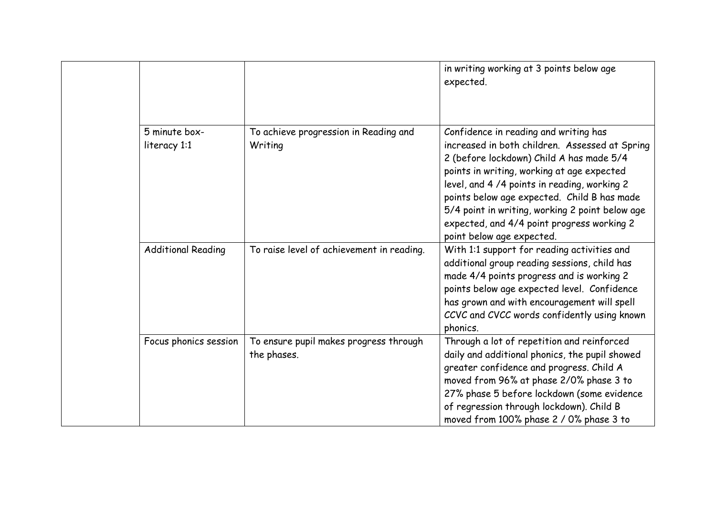|                               |                                                       | in writing working at 3 points below age<br>expected.                                                                                                                                                                                                                                                                                                                                                         |
|-------------------------------|-------------------------------------------------------|---------------------------------------------------------------------------------------------------------------------------------------------------------------------------------------------------------------------------------------------------------------------------------------------------------------------------------------------------------------------------------------------------------------|
| 5 minute box-<br>literacy 1:1 | To achieve progression in Reading and<br>Writing      | Confidence in reading and writing has<br>increased in both children. Assessed at Spring<br>2 (before lockdown) Child A has made 5/4<br>points in writing, working at age expected<br>level, and 4/4 points in reading, working 2<br>points below age expected. Child B has made<br>5/4 point in writing, working 2 point below age<br>expected, and 4/4 point progress working 2<br>point below age expected. |
| <b>Additional Reading</b>     | To raise level of achievement in reading.             | With 1:1 support for reading activities and<br>additional group reading sessions, child has<br>made 4/4 points progress and is working 2<br>points below age expected level. Confidence<br>has grown and with encouragement will spell<br>CCVC and CVCC words confidently using known<br>phonics.                                                                                                             |
| Focus phonics session         | To ensure pupil makes progress through<br>the phases. | Through a lot of repetition and reinforced<br>daily and additional phonics, the pupil showed<br>greater confidence and progress. Child A<br>moved from 96% at phase 2/0% phase 3 to<br>27% phase 5 before lockdown (some evidence<br>of regression through lockdown). Child B<br>moved from 100% phase 2 / 0% phase 3 to                                                                                      |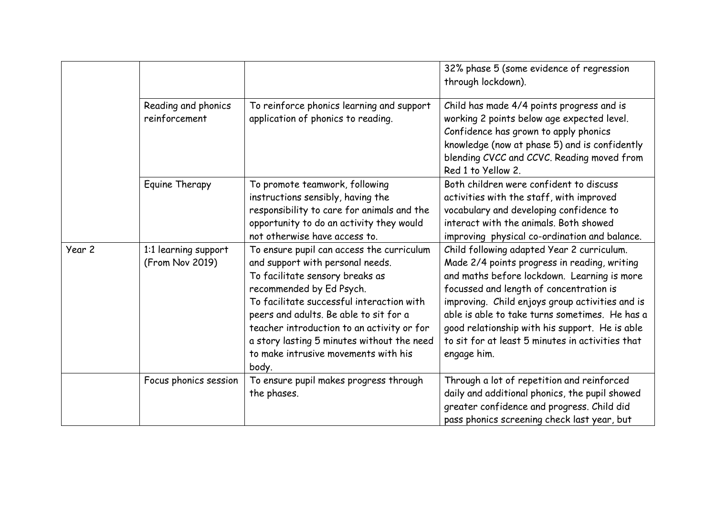|        |                                         |                                                                                                                                                                                                                                                                                                                                                                                  | 32% phase 5 (some evidence of regression<br>through lockdown).                                                                                                                                                                                                                                                                                                                                                 |
|--------|-----------------------------------------|----------------------------------------------------------------------------------------------------------------------------------------------------------------------------------------------------------------------------------------------------------------------------------------------------------------------------------------------------------------------------------|----------------------------------------------------------------------------------------------------------------------------------------------------------------------------------------------------------------------------------------------------------------------------------------------------------------------------------------------------------------------------------------------------------------|
|        | Reading and phonics<br>reinforcement    | To reinforce phonics learning and support<br>application of phonics to reading.                                                                                                                                                                                                                                                                                                  | Child has made 4/4 points progress and is<br>working 2 points below age expected level.<br>Confidence has grown to apply phonics<br>knowledge (now at phase 5) and is confidently<br>blending CVCC and CCVC. Reading moved from<br>Red 1 to Yellow 2.                                                                                                                                                          |
|        | Equine Therapy                          | To promote teamwork, following<br>instructions sensibly, having the<br>responsibility to care for animals and the<br>opportunity to do an activity they would<br>not otherwise have access to.                                                                                                                                                                                   | Both children were confident to discuss<br>activities with the staff, with improved<br>vocabulary and developing confidence to<br>interact with the animals. Both showed<br>improving physical co-ordination and balance.                                                                                                                                                                                      |
| Year 2 | 1:1 learning support<br>(From Nov 2019) | To ensure pupil can access the curriculum<br>and support with personal needs.<br>To facilitate sensory breaks as<br>recommended by Ed Psych.<br>To facilitate successful interaction with<br>peers and adults. Be able to sit for a<br>teacher introduction to an activity or for<br>a story lasting 5 minutes without the need<br>to make intrusive movements with his<br>body. | Child following adapted Year 2 curriculum.<br>Made 2/4 points progress in reading, writing<br>and maths before lockdown. Learning is more<br>focussed and length of concentration is<br>improving. Child enjoys group activities and is<br>able is able to take turns sometimes. He has a<br>good relationship with his support. He is able<br>to sit for at least 5 minutes in activities that<br>engage him. |
|        | Focus phonics session                   | To ensure pupil makes progress through<br>the phases.                                                                                                                                                                                                                                                                                                                            | Through a lot of repetition and reinforced<br>daily and additional phonics, the pupil showed<br>greater confidence and progress. Child did<br>pass phonics screening check last year, but                                                                                                                                                                                                                      |